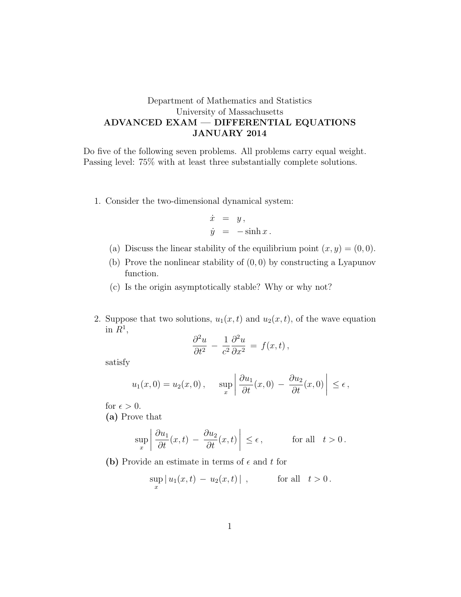## Department of Mathematics and Statistics University of Massachusetts ADVANCED EXAM — DIFFERENTIAL EQUATIONS JANUARY 2014

Do five of the following seven problems. All problems carry equal weight. Passing level: 75% with at least three substantially complete solutions.

1. Consider the two-dimensional dynamical system:

$$
\dot{x} = y,
$$
  

$$
\dot{y} = -\sinh x.
$$

- (a) Discuss the linear stability of the equilibrium point  $(x, y) = (0, 0)$ .
- (b) Prove the nonlinear stability of  $(0, 0)$  by constructing a Lyapunov function.
- (c) Is the origin asymptotically stable? Why or why not?
- 2. Suppose that two solutions,  $u_1(x, t)$  and  $u_2(x, t)$ , of the wave equation in  $R^1$ ,

$$
\frac{\partial^2 u}{\partial t^2} - \frac{1}{c^2} \frac{\partial^2 u}{\partial x^2} = f(x, t),
$$

satisfy

$$
u_1(x, 0) = u_2(x, 0),
$$
  $\sup_x \left| \frac{\partial u_1}{\partial t}(x, 0) - \frac{\partial u_2}{\partial t}(x, 0) \right| \le \epsilon,$ 

for  $\epsilon > 0$ .

(a) Prove that

$$
\sup_{x} \left| \frac{\partial u_1}{\partial t}(x, t) - \frac{\partial u_2}{\partial t}(x, t) \right| \le \epsilon, \quad \text{for all} \quad t > 0.
$$

(b) Provide an estimate in terms of  $\epsilon$  and t for

$$
\sup_x |u_1(x,t) - u_2(x,t)| , \qquad \text{for all} \ \ t > 0.
$$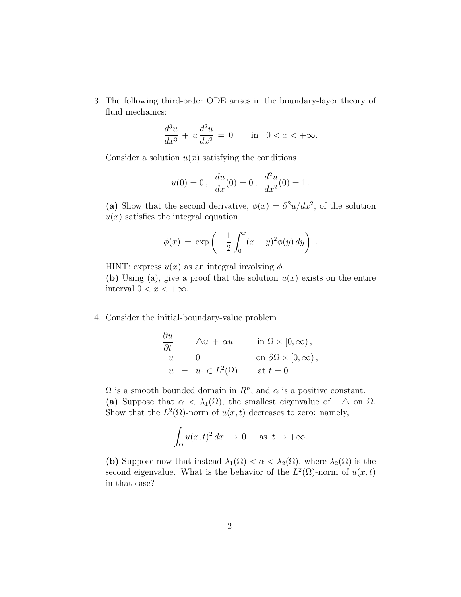3. The following third-order ODE arises in the boundary-layer theory of fluid mechanics:

$$
\frac{d^3u}{dx^3} + u\frac{d^2u}{dx^2} = 0 \quad \text{in} \quad 0 < x < +\infty.
$$

Consider a solution  $u(x)$  satisfying the conditions

$$
u(0) = 0
$$
,  $\frac{du}{dx}(0) = 0$ ,  $\frac{d^2u}{dx^2}(0) = 1$ .

(a) Show that the second derivative,  $\phi(x) = \frac{\partial^2 u}{dx^2}$ , of the solution  $u(x)$  satisfies the integral equation

$$
\phi(x) = \exp\left(-\frac{1}{2}\int_0^x (x-y)^2 \phi(y) dy\right).
$$

HINT: express  $u(x)$  as an integral involving  $\phi$ .

(b) Using (a), give a proof that the solution  $u(x)$  exists on the entire interval  $0 < x < +\infty$ .

## 4. Consider the initial-boundary-value problem

$$
\frac{\partial u}{\partial t} = \Delta u + \alpha u \qquad \text{in } \Omega \times [0, \infty),
$$
  
\n
$$
u = 0 \qquad \text{on } \partial \Omega \times [0, \infty),
$$
  
\n
$$
u = u_0 \in L^2(\Omega) \qquad \text{at } t = 0.
$$

 $\Omega$  is a smooth bounded domain in  $R<sup>n</sup>$ , and  $\alpha$  is a positive constant. (a) Suppose that  $\alpha < \lambda_1(\Omega)$ , the smallest eigenvalue of  $-\Delta$  on  $\Omega$ . Show that the  $L^2(\Omega)$ -norm of  $u(x,t)$  decreases to zero: namely,

$$
\int_{\Omega} u(x,t)^2 dx \to 0 \quad \text{as } t \to +\infty.
$$

(b) Suppose now that instead  $\lambda_1(\Omega) < \alpha < \lambda_2(\Omega)$ , where  $\lambda_2(\Omega)$  is the second eigenvalue. What is the behavior of the  $L^2(\Omega)$ -norm of  $u(x,t)$ in that case?